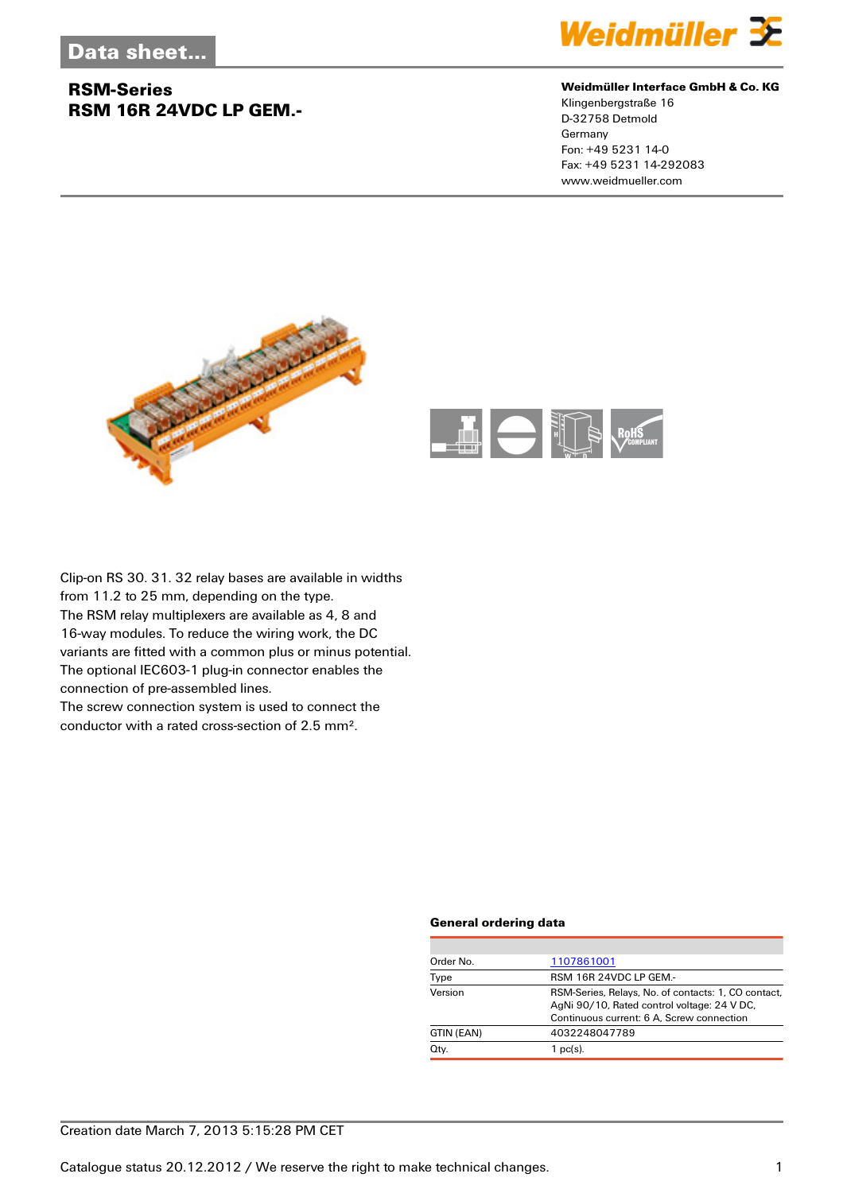### **RSM-Series RSM 16R 24VDC LP GEM.-**



### **Weidmüller Interface GmbH & Co. KG**

Klingenbergstraße 16 D-32758 Detmold Germany Fon: +49 5231 14-0 Fax: +49 5231 14-292083 www.weidmueller.com





Clip-on RS 30. 31. 32 relay bases are available in widths from 11.2 to 25 mm, depending on the type. The RSM relay multiplexers are available as 4, 8 and 16-way modules. To reduce the wiring work, the DC variants are fitted with a common plus or minus potential. The optional IEC603-1 plug-in connector enables the connection of pre-assembled lines. The screw connection system is used to connect the

conductor with a rated cross-section of 2.5 mm².

#### **General ordering data**

| Order No.  | 1107861001                                                                                                                                      |
|------------|-------------------------------------------------------------------------------------------------------------------------------------------------|
| Type       | RSM 16R 24VDC LP GEM.-                                                                                                                          |
| Version    | RSM-Series, Relays, No. of contacts: 1, CO contact,<br>AgNi 90/10, Rated control voltage: 24 V DC,<br>Continuous current: 6 A, Screw connection |
| GTIN (EAN) | 4032248047789                                                                                                                                   |
| Qty.       | $1$ pc(s).                                                                                                                                      |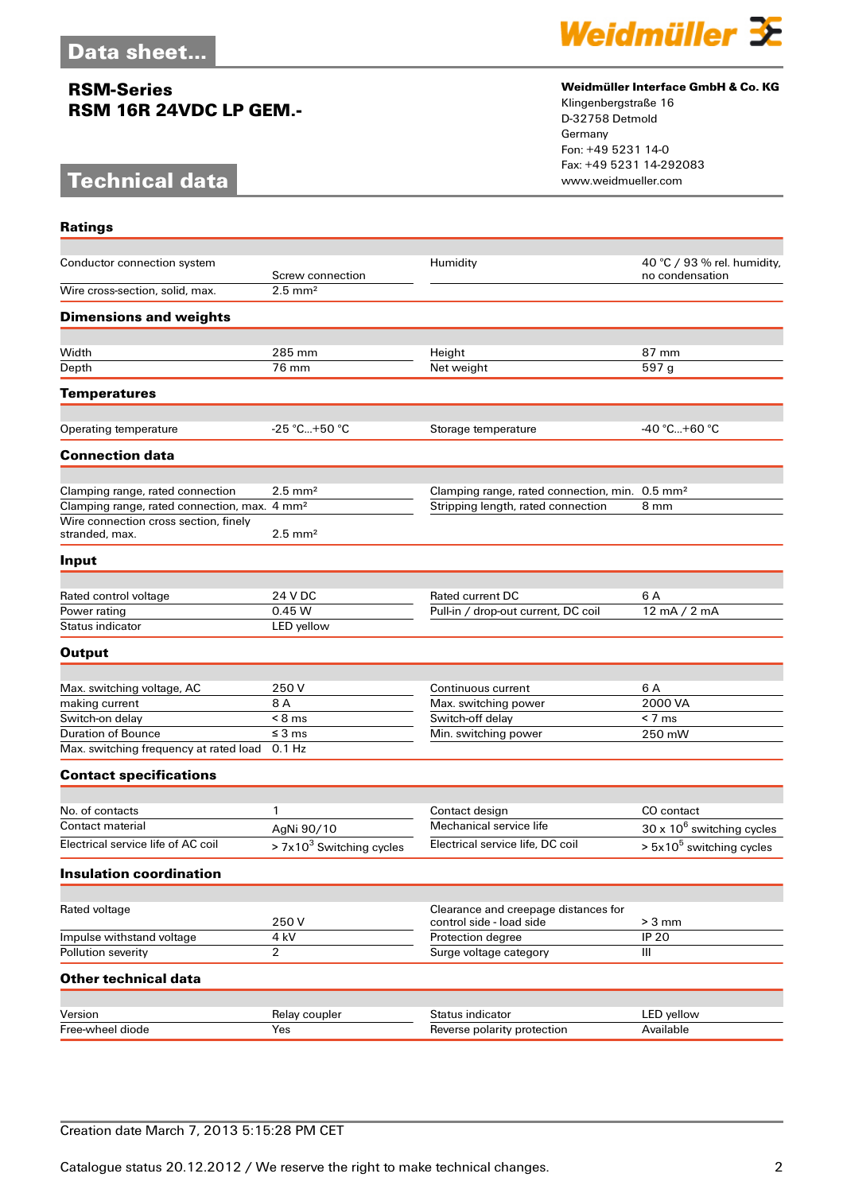## **RSM-Series RSM 16R 24VDC LP GEM.-**

# **Technical data**



### **Weidmüller Interface GmbH & Co. KG**

Klingenbergstraße 16 D-32758 Detmold Germany Fon: +49 5231 14-0 Fax: +49 5231 14-292083

| <b>Ratings</b>                                           |                            |                                                                  |                                                |
|----------------------------------------------------------|----------------------------|------------------------------------------------------------------|------------------------------------------------|
| Conductor connection system                              | Screw connection           | Humidity                                                         | 40 °C / 93 % rel. humidity,<br>no condensation |
| Wire cross-section, solid, max.                          | $2.5$ mm <sup>2</sup>      |                                                                  |                                                |
| <b>Dimensions and weights</b>                            |                            |                                                                  |                                                |
| Width                                                    | 285 mm                     | Height                                                           | 87 mm                                          |
| Depth                                                    | 76 mm                      | Net weight                                                       | 597 g                                          |
| <b>Temperatures</b>                                      |                            |                                                                  |                                                |
|                                                          |                            |                                                                  |                                                |
| Operating temperature                                    | $-25$ °C+50 °C             | Storage temperature                                              | $-40 °C+60 °C$                                 |
| <b>Connection data</b>                                   |                            |                                                                  |                                                |
| Clamping range, rated connection                         | $2.5 \text{ mm}^2$         | Clamping range, rated connection, min. 0.5 mm <sup>2</sup>       |                                                |
| Clamping range, rated connection, max. 4 mm <sup>2</sup> |                            | Stripping length, rated connection                               | 8 mm                                           |
| Wire connection cross section, finely<br>stranded, max.  | $2.5 \text{ mm}^2$         |                                                                  |                                                |
| Input                                                    |                            |                                                                  |                                                |
| Rated control voltage                                    | 24 V DC                    | Rated current DC                                                 | 6 A                                            |
| Power rating                                             | 0.45 W                     | Pull-in / drop-out current, DC coil                              | 12 mA / 2 mA                                   |
| Status indicator                                         | LED yellow                 |                                                                  |                                                |
| <b>Output</b>                                            |                            |                                                                  |                                                |
|                                                          |                            |                                                                  |                                                |
| Max. switching voltage, AC                               | 250 V                      | Continuous current                                               | 6 A<br>2000 VA                                 |
| making current<br>Switch-on delay                        | 8 A<br>$< 8$ ms            | Max. switching power<br>Switch-off delay                         | $< 7 \text{ ms}$                               |
| <b>Duration of Bounce</b>                                | $\leq$ 3 ms                | Min. switching power                                             | 250 mW                                         |
| Max. switching frequency at rated load                   | 0.1 Hz                     |                                                                  |                                                |
| <b>Contact specifications</b>                            |                            |                                                                  |                                                |
|                                                          |                            |                                                                  |                                                |
| No. of contacts                                          | 1                          | Contact design                                                   | CO contact                                     |
| <b>Contact material</b>                                  | AgNi 90/10                 | Mechanical service life                                          | $30 \times 10^6$ switching cycles              |
| Electrical service life of AC coil                       | $> 7x103$ Switching cycles | Electrical service life, DC coil                                 | $> 5x105$ switching cycles                     |
| <b>Insulation coordination</b>                           |                            |                                                                  |                                                |
|                                                          |                            |                                                                  |                                                |
| Rated voltage                                            | 250V                       | Clearance and creepage distances for<br>control side - load side | $> 3$ mm                                       |
| Impulse withstand voltage                                | 4 kV                       | Protection degree                                                | <b>IP 20</b>                                   |
| Pollution severity                                       | $\overline{2}$             | Surge voltage category                                           | III                                            |
| <b>Other technical data</b>                              |                            |                                                                  |                                                |
|                                                          |                            |                                                                  |                                                |
| Version<br>Free-wheel diode                              | Relay coupler<br>Yes       | Status indicator<br>Reverse polarity protection                  | LED yellow<br>Available                        |
|                                                          |                            |                                                                  |                                                |